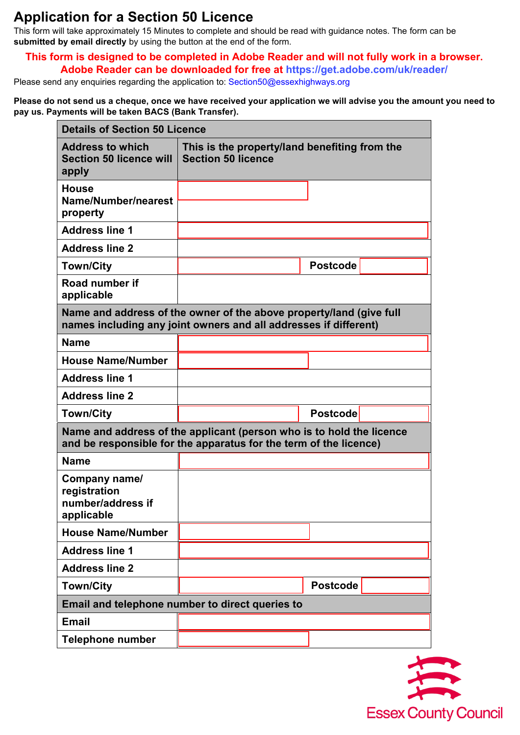## **Application for a Section 50 Licence**

This form will take approximately 15 Minutes to complete and should be read with guidance notes. The form can be **submitted by email directly** by using the button at the end of the form.

## **This form is designed to be completed in Adobe Reader and will not fully work in a browser. Adobe Reader can be downloaded for free at<https://get.adobe.com/uk/reader/>**

Please send any enquiries regarding the application to: [Section50@essexhighways.org](mailto:Section50@essexhighways.org)

**Please do not send us a cheque, once we have received your application we will advise you the amount you need to pay us. Payments will be taken BACS (Bank Transfer).** 

| <b>Details of Section 50 Licence</b>                                                                                                      |                                                                            |                 |  |
|-------------------------------------------------------------------------------------------------------------------------------------------|----------------------------------------------------------------------------|-----------------|--|
| <b>Address to which</b><br><b>Section 50 licence will</b><br>apply                                                                        | This is the property/land benefiting from the<br><b>Section 50 licence</b> |                 |  |
| <b>House</b><br>Name/Number/nearest<br>property                                                                                           |                                                                            |                 |  |
| <b>Address line 1</b>                                                                                                                     |                                                                            |                 |  |
| <b>Address line 2</b>                                                                                                                     |                                                                            |                 |  |
| <b>Town/City</b>                                                                                                                          |                                                                            | <b>Postcode</b> |  |
| Road number if<br>applicable                                                                                                              |                                                                            |                 |  |
| Name and address of the owner of the above property/land (give full<br>names including any joint owners and all addresses if different)   |                                                                            |                 |  |
| <b>Name</b>                                                                                                                               |                                                                            |                 |  |
| <b>House Name/Number</b>                                                                                                                  |                                                                            |                 |  |
| <b>Address line 1</b>                                                                                                                     |                                                                            |                 |  |
| <b>Address line 2</b>                                                                                                                     |                                                                            |                 |  |
| <b>Town/City</b>                                                                                                                          |                                                                            | <b>Postcode</b> |  |
| Name and address of the applicant (person who is to hold the licence<br>and be responsible for the apparatus for the term of the licence) |                                                                            |                 |  |
| <b>Name</b>                                                                                                                               |                                                                            |                 |  |
| Company name/<br>registration<br>number/address if<br>applicable                                                                          |                                                                            |                 |  |
| <b>House Name/Number</b>                                                                                                                  |                                                                            |                 |  |
| <b>Address line 1</b>                                                                                                                     |                                                                            |                 |  |
| <b>Address line 2</b>                                                                                                                     |                                                                            |                 |  |
| <b>Town/City</b>                                                                                                                          |                                                                            | <b>Postcode</b> |  |
| Email and telephone number to direct queries to                                                                                           |                                                                            |                 |  |
| <b>Email</b>                                                                                                                              |                                                                            |                 |  |
| <b>Telephone number</b>                                                                                                                   |                                                                            |                 |  |

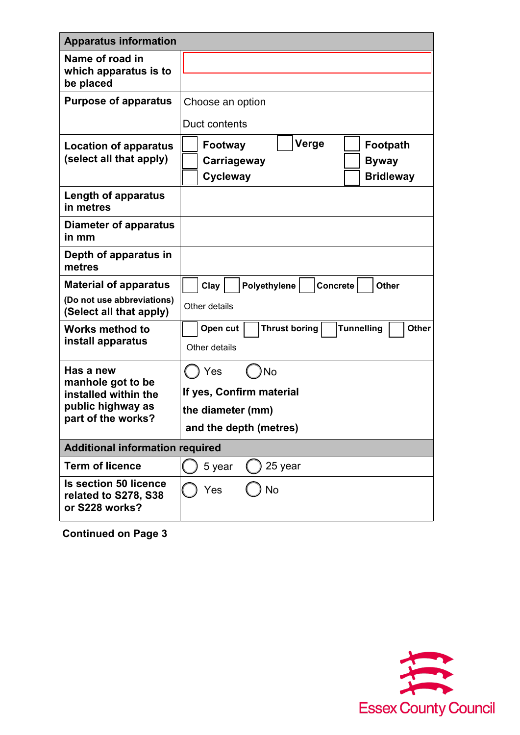| <b>Apparatus information</b>                                           |                                                                                             |  |  |
|------------------------------------------------------------------------|---------------------------------------------------------------------------------------------|--|--|
| Name of road in<br>which apparatus is to<br>be placed                  |                                                                                             |  |  |
| <b>Purpose of apparatus</b>                                            | Choose an option                                                                            |  |  |
|                                                                        | Duct contents                                                                               |  |  |
| Location of apparatus<br>(select all that apply)                       | Verge<br>Footpath<br>Footway<br>Carriageway<br><b>Byway</b><br>Cycleway<br><b>Bridleway</b> |  |  |
| Length of apparatus<br>in metres                                       |                                                                                             |  |  |
| Diameter of apparatus<br>in mm                                         |                                                                                             |  |  |
| Depth of apparatus in<br>metres                                        |                                                                                             |  |  |
| <b>Material of apparatus</b>                                           | Polyethylene<br>Clay<br>Concrete<br><b>Other</b>                                            |  |  |
| (Do not use abbreviations)<br>(Select all that apply)                  | Other details                                                                               |  |  |
| <b>Works method to</b><br>install apparatus                            | <b>Thrust boring</b><br><b>Tunnelling</b><br><b>Other</b><br>Open cut<br>Other details      |  |  |
| Has a new                                                              | Yes<br>No                                                                                   |  |  |
| manhole got to be<br>installed within the                              | If yes, Confirm material                                                                    |  |  |
| public highway as                                                      | the diameter (mm)                                                                           |  |  |
| part of the works?                                                     | and the depth (metres)                                                                      |  |  |
| <b>Additional information required</b>                                 |                                                                                             |  |  |
| <b>Term of licence</b>                                                 | 5 year<br>25 year                                                                           |  |  |
| <b>Is section 50 licence</b><br>related to S278, S38<br>or S228 works? | Yes<br>No                                                                                   |  |  |

**Continued on Page 3**